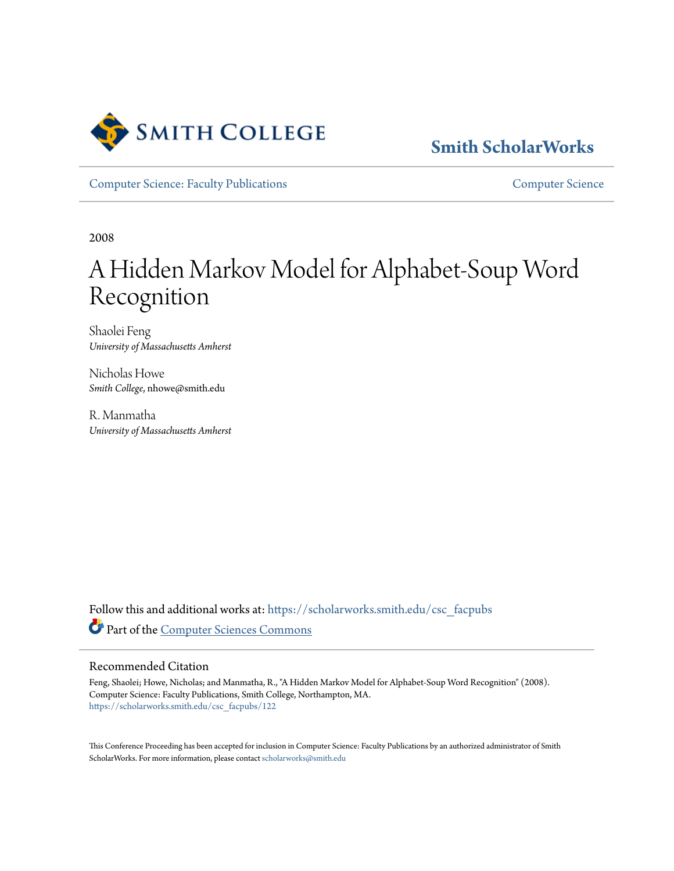

## **[Smith ScholarWorks](https://scholarworks.smith.edu/?utm_source=scholarworks.smith.edu%2Fcsc_facpubs%2F122&utm_medium=PDF&utm_campaign=PDFCoverPages)**

[Computer Science: Faculty Publications](https://scholarworks.smith.edu/csc_facpubs?utm_source=scholarworks.smith.edu%2Fcsc_facpubs%2F122&utm_medium=PDF&utm_campaign=PDFCoverPages) [Computer Science](https://scholarworks.smith.edu/csc?utm_source=scholarworks.smith.edu%2Fcsc_facpubs%2F122&utm_medium=PDF&utm_campaign=PDFCoverPages)

2008

# A Hidden Markov Model for Alphabet-Soup Word Recognition

Shaolei Feng *University of Massachusetts Amherst*

Nicholas Howe *Smith College*, nhowe@smith.edu

R. Manmatha *University of Massachusetts Amherst*

Follow this and additional works at: [https://scholarworks.smith.edu/csc\\_facpubs](https://scholarworks.smith.edu/csc_facpubs?utm_source=scholarworks.smith.edu%2Fcsc_facpubs%2F122&utm_medium=PDF&utm_campaign=PDFCoverPages) Part of the [Computer Sciences Commons](http://network.bepress.com/hgg/discipline/142?utm_source=scholarworks.smith.edu%2Fcsc_facpubs%2F122&utm_medium=PDF&utm_campaign=PDFCoverPages)

#### Recommended Citation

Feng, Shaolei; Howe, Nicholas; and Manmatha, R., "A Hidden Markov Model for Alphabet-Soup Word Recognition" (2008). Computer Science: Faculty Publications, Smith College, Northampton, MA. [https://scholarworks.smith.edu/csc\\_facpubs/122](https://scholarworks.smith.edu/csc_facpubs/122?utm_source=scholarworks.smith.edu%2Fcsc_facpubs%2F122&utm_medium=PDF&utm_campaign=PDFCoverPages)

This Conference Proceeding has been accepted for inclusion in Computer Science: Faculty Publications by an authorized administrator of Smith ScholarWorks. For more information, please contact [scholarworks@smith.edu](mailto:scholarworks@smith.edu)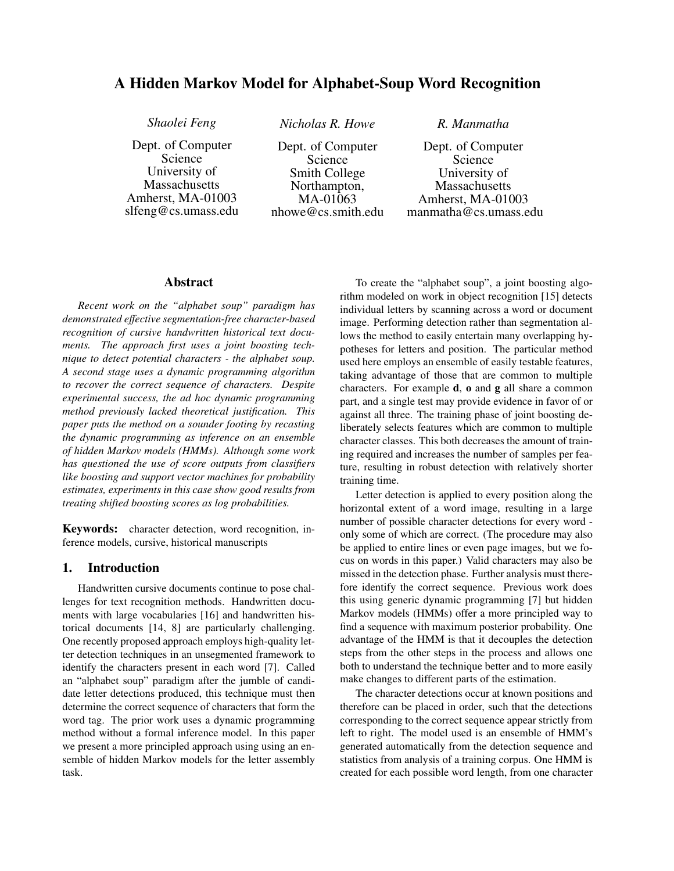#### A Hidden Markov Model for Alphabet-Soup Word Recognition

Dept. of Computer Science University of **Massachusetts** Amherst, MA-01003 slfeng@cs.umass.edu

*Shaolei Feng Nicholas R. Howe R. Manmatha*

Dept. of Computer Science Smith College Northampton, MA-01063 nhowe@cs.smith.edu

Dept. of Computer Science University of Massachusetts Amherst, MA-01003 manmatha@cs.umass.edu

#### Abstract

*Recent work on the "alphabet soup" paradigm has demonstrated effective segmentation-free character-based recognition of cursive handwritten historical text documents. The approach first uses a joint boosting technique to detect potential characters - the alphabet soup. A second stage uses a dynamic programming algorithm to recover the correct sequence of characters. Despite experimental success, the ad hoc dynamic programming method previously lacked theoretical justification. This paper puts the method on a sounder footing by recasting the dynamic programming as inference on an ensemble of hidden Markov models (HMMs). Although some work has questioned the use of score outputs from classifiers like boosting and support vector machines for probability estimates, experiments in this case show good results from treating shifted boosting scores as log probabilities.*

Keywords: character detection, word recognition, inference models, cursive, historical manuscripts

#### 1. Introduction

Handwritten cursive documents continue to pose challenges for text recognition methods. Handwritten documents with large vocabularies [16] and handwritten historical documents [14, 8] are particularly challenging. One recently proposed approach employs high-quality letter detection techniques in an unsegmented framework to identify the characters present in each word [7]. Called an "alphabet soup" paradigm after the jumble of candidate letter detections produced, this technique must then determine the correct sequence of characters that form the word tag. The prior work uses a dynamic programming method without a formal inference model. In this paper we present a more principled approach using using an ensemble of hidden Markov models for the letter assembly task.

To create the "alphabet soup", a joint boosting algorithm modeled on work in object recognition [15] detects individual letters by scanning across a word or document image. Performing detection rather than segmentation allows the method to easily entertain many overlapping hypotheses for letters and position. The particular method used here employs an ensemble of easily testable features, taking advantage of those that are common to multiple characters. For example  $d$ ,  $o$  and  $g$  all share a common part, and a single test may provide evidence in favor of or against all three. The training phase of joint boosting deliberately selects features which are common to multiple character classes. This both decreases the amount of training required and increases the number of samples per feature, resulting in robust detection with relatively shorter training time.

Letter detection is applied to every position along the horizontal extent of a word image, resulting in a large number of possible character detections for every word only some of which are correct. (The procedure may also be applied to entire lines or even page images, but we focus on words in this paper.) Valid characters may also be missed in the detection phase. Further analysis must therefore identify the correct sequence. Previous work does this using generic dynamic programming [7] but hidden Markov models (HMMs) offer a more principled way to find a sequence with maximum posterior probability. One advantage of the HMM is that it decouples the detection steps from the other steps in the process and allows one both to understand the technique better and to more easily make changes to different parts of the estimation.

The character detections occur at known positions and therefore can be placed in order, such that the detections corresponding to the correct sequence appear strictly from left to right. The model used is an ensemble of HMM's generated automatically from the detection sequence and statistics from analysis of a training corpus. One HMM is created for each possible word length, from one character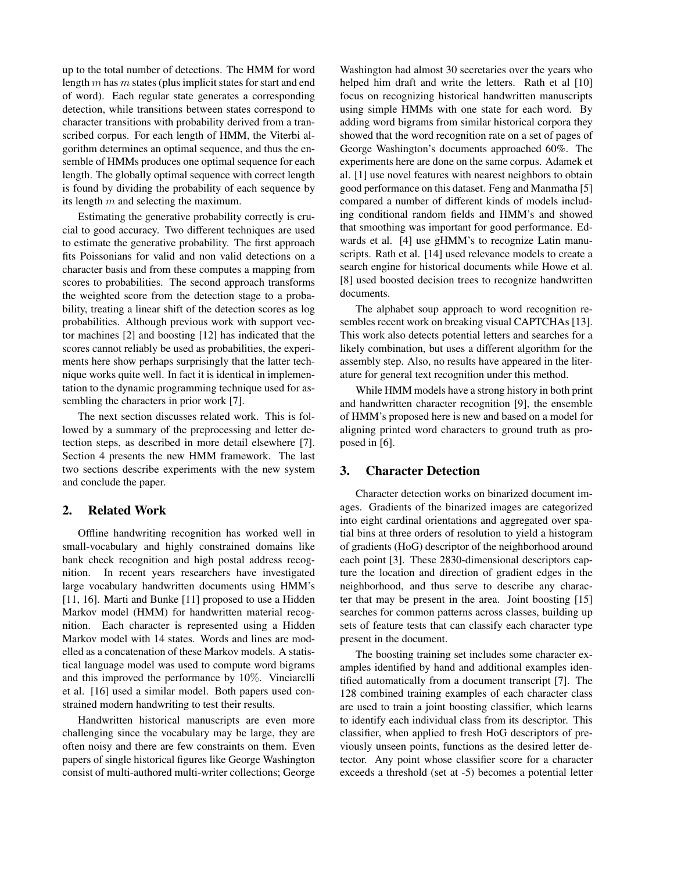up to the total number of detections. The HMM for word length  $m$  has  $m$  states (plus implicit states for start and end of word). Each regular state generates a corresponding detection, while transitions between states correspond to character transitions with probability derived from a transcribed corpus. For each length of HMM, the Viterbi algorithm determines an optimal sequence, and thus the ensemble of HMMs produces one optimal sequence for each length. The globally optimal sequence with correct length is found by dividing the probability of each sequence by its length  $m$  and selecting the maximum.

Estimating the generative probability correctly is crucial to good accuracy. Two different techniques are used to estimate the generative probability. The first approach fits Poissonians for valid and non valid detections on a character basis and from these computes a mapping from scores to probabilities. The second approach transforms the weighted score from the detection stage to a probability, treating a linear shift of the detection scores as log probabilities. Although previous work with support vector machines [2] and boosting [12] has indicated that the scores cannot reliably be used as probabilities, the experiments here show perhaps surprisingly that the latter technique works quite well. In fact it is identical in implementation to the dynamic programming technique used for assembling the characters in prior work [7].

The next section discusses related work. This is followed by a summary of the preprocessing and letter detection steps, as described in more detail elsewhere [7]. Section 4 presents the new HMM framework. The last two sections describe experiments with the new system and conclude the paper.

#### 2. Related Work

Offline handwriting recognition has worked well in small-vocabulary and highly constrained domains like bank check recognition and high postal address recognition. In recent years researchers have investigated large vocabulary handwritten documents using HMM's [11, 16]. Marti and Bunke [11] proposed to use a Hidden Markov model (HMM) for handwritten material recognition. Each character is represented using a Hidden Markov model with 14 states. Words and lines are modelled as a concatenation of these Markov models. A statistical language model was used to compute word bigrams and this improved the performance by 10%. Vinciarelli et al. [16] used a similar model. Both papers used constrained modern handwriting to test their results.

Handwritten historical manuscripts are even more challenging since the vocabulary may be large, they are often noisy and there are few constraints on them. Even papers of single historical figures like George Washington consist of multi-authored multi-writer collections; George

Washington had almost 30 secretaries over the years who helped him draft and write the letters. Rath et al [10] focus on recognizing historical handwritten manuscripts using simple HMMs with one state for each word. By adding word bigrams from similar historical corpora they showed that the word recognition rate on a set of pages of George Washington's documents approached 60%. The experiments here are done on the same corpus. Adamek et al. [1] use novel features with nearest neighbors to obtain good performance on this dataset. Feng and Manmatha [5] compared a number of different kinds of models including conditional random fields and HMM's and showed that smoothing was important for good performance. Edwards et al. [4] use gHMM's to recognize Latin manuscripts. Rath et al. [14] used relevance models to create a search engine for historical documents while Howe et al. [8] used boosted decision trees to recognize handwritten documents.

The alphabet soup approach to word recognition resembles recent work on breaking visual CAPTCHAs [13]. This work also detects potential letters and searches for a likely combination, but uses a different algorithm for the assembly step. Also, no results have appeared in the literature for general text recognition under this method.

While HMM models have a strong history in both print and handwritten character recognition [9], the ensemble of HMM's proposed here is new and based on a model for aligning printed word characters to ground truth as proposed in [6].

#### 3. Character Detection

Character detection works on binarized document images. Gradients of the binarized images are categorized into eight cardinal orientations and aggregated over spatial bins at three orders of resolution to yield a histogram of gradients (HoG) descriptor of the neighborhood around each point [3]. These 2830-dimensional descriptors capture the location and direction of gradient edges in the neighborhood, and thus serve to describe any character that may be present in the area. Joint boosting [15] searches for common patterns across classes, building up sets of feature tests that can classify each character type present in the document.

The boosting training set includes some character examples identified by hand and additional examples identified automatically from a document transcript [7]. The 128 combined training examples of each character class are used to train a joint boosting classifier, which learns to identify each individual class from its descriptor. This classifier, when applied to fresh HoG descriptors of previously unseen points, functions as the desired letter detector. Any point whose classifier score for a character exceeds a threshold (set at -5) becomes a potential letter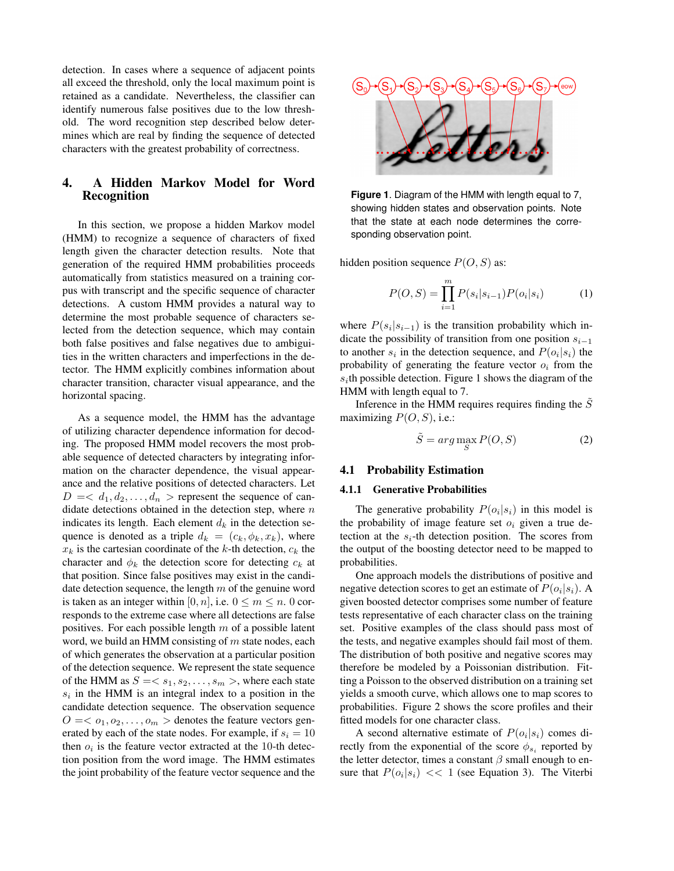detection. In cases where a sequence of adjacent points all exceed the threshold, only the local maximum point is retained as a candidate. Nevertheless, the classifier can identify numerous false positives due to the low threshold. The word recognition step described below determines which are real by finding the sequence of detected characters with the greatest probability of correctness.

#### 4. A Hidden Markov Model for Word Recognition

In this section, we propose a hidden Markov model (HMM) to recognize a sequence of characters of fixed length given the character detection results. Note that generation of the required HMM probabilities proceeds automatically from statistics measured on a training corpus with transcript and the specific sequence of character detections. A custom HMM provides a natural way to determine the most probable sequence of characters selected from the detection sequence, which may contain both false positives and false negatives due to ambiguities in the written characters and imperfections in the detector. The HMM explicitly combines information about character transition, character visual appearance, and the horizontal spacing.

As a sequence model, the HMM has the advantage of utilizing character dependence information for decoding. The proposed HMM model recovers the most probable sequence of detected characters by integrating information on the character dependence, the visual appearance and the relative positions of detected characters. Let  $D = \langle d_1, d_2, \ldots, d_n \rangle$  represent the sequence of candidate detections obtained in the detection step, where  $n$ indicates its length. Each element  $d_k$  in the detection sequence is denoted as a triple  $d_k = (c_k, \phi_k, x_k)$ , where  $x_k$  is the cartesian coordinate of the k-th detection,  $c_k$  the character and  $\phi_k$  the detection score for detecting  $c_k$  at that position. Since false positives may exist in the candidate detection sequence, the length  $m$  of the genuine word is taken as an integer within [0, n], i.e.  $0 \le m \le n$ . 0 corresponds to the extreme case where all detections are false positives. For each possible length  $m$  of a possible latent word, we build an HMM consisting of m state nodes, each of which generates the observation at a particular position of the detection sequence. We represent the state sequence of the HMM as  $S = \langle s_1, s_2, \ldots, s_m \rangle$ , where each state  $s_i$  in the HMM is an integral index to a position in the candidate detection sequence. The observation sequence  $O = \langle o_1, o_2, \ldots, o_m \rangle$  denotes the feature vectors generated by each of the state nodes. For example, if  $s_i = 10$ then  $o_i$  is the feature vector extracted at the 10-th detection position from the word image. The HMM estimates the joint probability of the feature vector sequence and the



**Figure 1**. Diagram of the HMM with length equal to 7, showing hidden states and observation points. Note that the state at each node determines the corresponding observation point.

hidden position sequence  $P(O, S)$  as:

$$
P(O, S) = \prod_{i=1}^{m} P(s_i | s_{i-1}) P(o_i | s_i)
$$
 (1)

where  $P(s_i|s_{i-1})$  is the transition probability which indicate the possibility of transition from one position  $s_{i-1}$ to another  $s_i$  in the detection sequence, and  $P(o_i|s_i)$  the probability of generating the feature vector  $o_i$  from the  $s_i$ th possible detection. Figure 1 shows the diagram of the HMM with length equal to 7.

Inference in the HMM requires requires finding the  $\tilde{S}$ maximizing  $P(O, S)$ , i.e.:

$$
\tilde{S} = arg \max_{S} P(O, S)
$$
 (2)

### 4.1 Probability Estimation

#### 4.1.1 Generative Probabilities

The generative probability  $P(o_i|s_i)$  in this model is the probability of image feature set  $o_i$  given a true detection at the  $s_i$ -th detection position. The scores from the output of the boosting detector need to be mapped to probabilities.

One approach models the distributions of positive and negative detection scores to get an estimate of  $P(o_i|s_i)$ . A given boosted detector comprises some number of feature tests representative of each character class on the training set. Positive examples of the class should pass most of the tests, and negative examples should fail most of them. The distribution of both positive and negative scores may therefore be modeled by a Poissonian distribution. Fitting a Poisson to the observed distribution on a training set yields a smooth curve, which allows one to map scores to probabilities. Figure 2 shows the score profiles and their fitted models for one character class.

A second alternative estimate of  $P(o_i|s_i)$  comes directly from the exponential of the score  $\phi_{s_i}$  reported by the letter detector, times a constant  $\beta$  small enough to ensure that  $P(o_i|s_i) \ll 1$  (see Equation 3). The Viterbi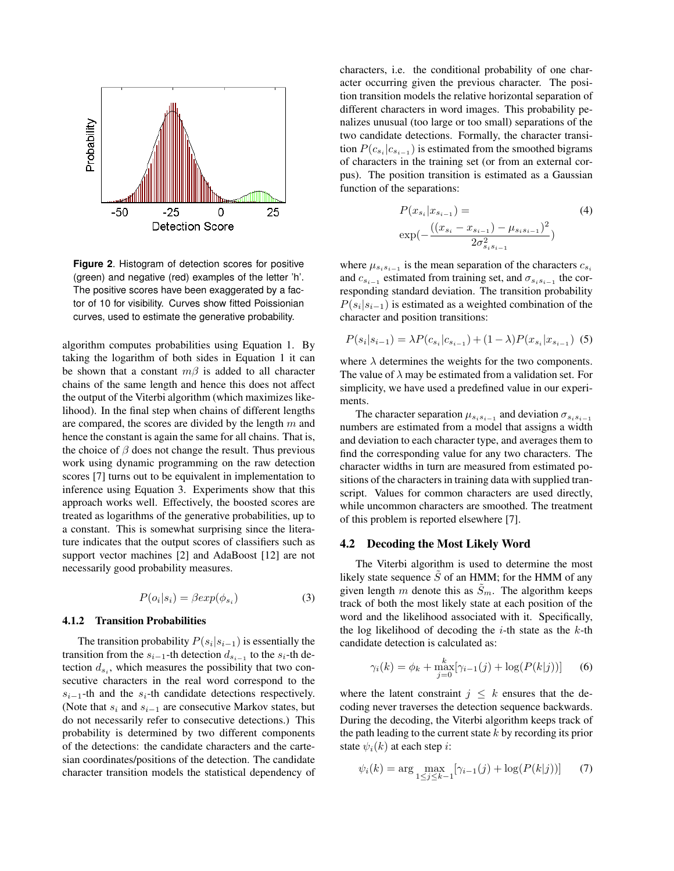

**Figure 2**. Histogram of detection scores for positive (green) and negative (red) examples of the letter 'h'. The positive scores have been exaggerated by a factor of 10 for visibility. Curves show fitted Poissionian curves, used to estimate the generative probability.

algorithm computes probabilities using Equation 1. By taking the logarithm of both sides in Equation 1 it can be shown that a constant  $m\beta$  is added to all character chains of the same length and hence this does not affect the output of the Viterbi algorithm (which maximizes likelihood). In the final step when chains of different lengths are compared, the scores are divided by the length  $m$  and hence the constant is again the same for all chains. That is, the choice of  $\beta$  does not change the result. Thus previous work using dynamic programming on the raw detection scores [7] turns out to be equivalent in implementation to inference using Equation 3. Experiments show that this approach works well. Effectively, the boosted scores are treated as logarithms of the generative probabilities, up to a constant. This is somewhat surprising since the literature indicates that the output scores of classifiers such as support vector machines [2] and AdaBoost [12] are not necessarily good probability measures.

$$
P(o_i|s_i) = \beta exp(\phi_{s_i})
$$
\n(3)

#### 4.1.2 Transition Probabilities

The transition probability  $P(s_i|s_{i-1})$  is essentially the transition from the  $s_{i-1}$ -th detection  $d_{s_{i-1}}$  to the  $s_i$ -th detection  $d_{s_i}$ , which measures the possibility that two consecutive characters in the real word correspond to the  $s_{i-1}$ -th and the  $s_i$ -th candidate detections respectively. (Note that  $s_i$  and  $s_{i-1}$  are consecutive Markov states, but do not necessarily refer to consecutive detections.) This probability is determined by two different components of the detections: the candidate characters and the cartesian coordinates/positions of the detection. The candidate character transition models the statistical dependency of characters, i.e. the conditional probability of one character occurring given the previous character. The position transition models the relative horizontal separation of different characters in word images. This probability penalizes unusual (too large or too small) separations of the two candidate detections. Formally, the character transition  $P(c_{s_i}|c_{s_{i-1}})$  is estimated from the smoothed bigrams of characters in the training set (or from an external corpus). The position transition is estimated as a Gaussian function of the separations:

$$
P(x_{s_i}|x_{s_{i-1}}) = \tag{4}
$$
  
\n
$$
\exp(-\frac{((x_{s_i} - x_{s_{i-1}}) - \mu_{s_i s_{i-1}})^2}{2\sigma_{s_i s_{i-1}}^2})
$$

where  $\mu_{s_i s_{i-1}}$  is the mean separation of the characters  $c_{s_i}$ and  $c_{s_{i-1}}$  estimated from training set, and  $\sigma_{s_i s_{i-1}}$  the corresponding standard deviation. The transition probability  $P(s_i|s_{i-1})$  is estimated as a weighted combination of the character and position transitions:

$$
P(s_i|s_{i-1}) = \lambda P(c_{s_i}|c_{s_{i-1}}) + (1-\lambda)P(x_{s_i}|x_{s_{i-1}})
$$
 (5)

where  $\lambda$  determines the weights for the two components. The value of  $\lambda$  may be estimated from a validation set. For simplicity, we have used a predefined value in our experiments.

The character separation  $\mu_{s_i s_{i-1}}$  and deviation  $\sigma_{s_i s_{i-1}}$ numbers are estimated from a model that assigns a width and deviation to each character type, and averages them to find the corresponding value for any two characters. The character widths in turn are measured from estimated positions of the characters in training data with supplied transcript. Values for common characters are used directly, while uncommon characters are smoothed. The treatment of this problem is reported elsewhere [7].

#### 4.2 Decoding the Most Likely Word

The Viterbi algorithm is used to determine the most likely state sequence  $\hat{S}$  of an HMM; for the HMM of any given length m denote this as  $\tilde{S}_m$ . The algorithm keeps track of both the most likely state at each position of the word and the likelihood associated with it. Specifically, the log likelihood of decoding the  $i$ -th state as the  $k$ -th candidate detection is calculated as:

$$
\gamma_i(k) = \phi_k + \max_{j=0}^k [\gamma_{i-1}(j) + \log(P(k|j))]
$$
 (6)

where the latent constraint  $j \leq k$  ensures that the decoding never traverses the detection sequence backwards. During the decoding, the Viterbi algorithm keeps track of the path leading to the current state  $k$  by recording its prior state  $\psi_i(k)$  at each step *i*:

$$
\psi_i(k) = \arg \max_{1 \le j \le k-1} [\gamma_{i-1}(j) + \log(P(k|j))]
$$
 (7)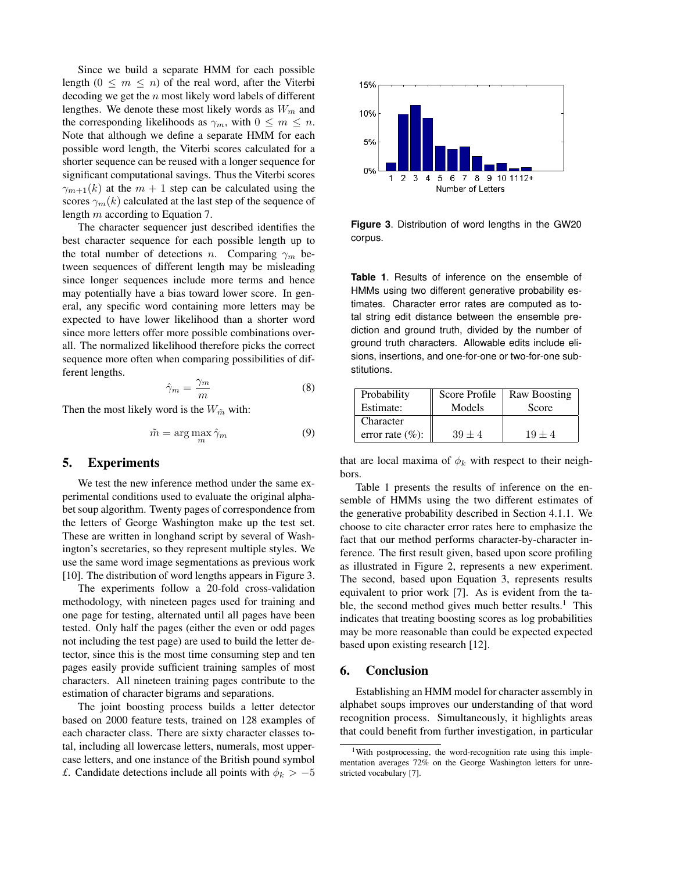Since we build a separate HMM for each possible length  $(0 \le m \le n)$  of the real word, after the Viterbi decoding we get the  $n$  most likely word labels of different lengthes. We denote these most likely words as  $W_m$  and the corresponding likelihoods as  $\gamma_m$ , with  $0 \leq m \leq n$ . Note that although we define a separate HMM for each possible word length, the Viterbi scores calculated for a shorter sequence can be reused with a longer sequence for significant computational savings. Thus the Viterbi scores  $\gamma_{m+1}(k)$  at the  $m+1$  step can be calculated using the scores  $\gamma_m(k)$  calculated at the last step of the sequence of length m according to Equation 7.

The character sequencer just described identifies the best character sequence for each possible length up to the total number of detections n. Comparing  $\gamma_m$  between sequences of different length may be misleading since longer sequences include more terms and hence may potentially have a bias toward lower score. In general, any specific word containing more letters may be expected to have lower likelihood than a shorter word since more letters offer more possible combinations overall. The normalized likelihood therefore picks the correct sequence more often when comparing possibilities of different lengths.

$$
\hat{\gamma}_m = \frac{\gamma_m}{m} \tag{8}
$$

Then the most likely word is the  $W_{\tilde{m}}$  with:

$$
\tilde{m} = \arg\max_{m} \hat{\gamma}_m \tag{9}
$$

#### 5. Experiments

We test the new inference method under the same experimental conditions used to evaluate the original alphabet soup algorithm. Twenty pages of correspondence from the letters of George Washington make up the test set. These are written in longhand script by several of Washington's secretaries, so they represent multiple styles. We use the same word image segmentations as previous work [10]. The distribution of word lengths appears in Figure 3.

The experiments follow a 20-fold cross-validation methodology, with nineteen pages used for training and one page for testing, alternated until all pages have been tested. Only half the pages (either the even or odd pages not including the test page) are used to build the letter detector, since this is the most time consuming step and ten pages easily provide sufficient training samples of most characters. All nineteen training pages contribute to the estimation of character bigrams and separations.

The joint boosting process builds a letter detector based on 2000 feature tests, trained on 128 examples of each character class. There are sixty character classes total, including all lowercase letters, numerals, most uppercase letters, and one instance of the British pound symbol *£*. Candidate detections include all points with  $\phi_k > -5$ 



**Figure 3**. Distribution of word lengths in the GW20 corpus.

**Table 1**. Results of inference on the ensemble of HMMs using two different generative probability estimates. Character error rates are computed as total string edit distance between the ensemble prediction and ground truth, divided by the number of ground truth characters. Allowable edits include elisions, insertions, and one-for-one or two-for-one substitutions.

| Probability         | Score Profile | Raw Boosting |
|---------------------|---------------|--------------|
| Estimate:           | Models        | Score        |
| Character           |               |              |
| error rate $(\%)$ : | $39 \pm 4$    | $19 + 4$     |

that are local maxima of  $\phi_k$  with respect to their neighbors.

Table 1 presents the results of inference on the ensemble of HMMs using the two different estimates of the generative probability described in Section 4.1.1. We choose to cite character error rates here to emphasize the fact that our method performs character-by-character inference. The first result given, based upon score profiling as illustrated in Figure 2, represents a new experiment. The second, based upon Equation 3, represents results equivalent to prior work [7]. As is evident from the table, the second method gives much better results.<sup>1</sup> This indicates that treating boosting scores as log probabilities may be more reasonable than could be expected expected based upon existing research [12].

#### 6. Conclusion

Establishing an HMM model for character assembly in alphabet soups improves our understanding of that word recognition process. Simultaneously, it highlights areas that could benefit from further investigation, in particular

<sup>&</sup>lt;sup>1</sup>With postprocessing, the word-recognition rate using this implementation averages 72% on the George Washington letters for unrestricted vocabulary [7].